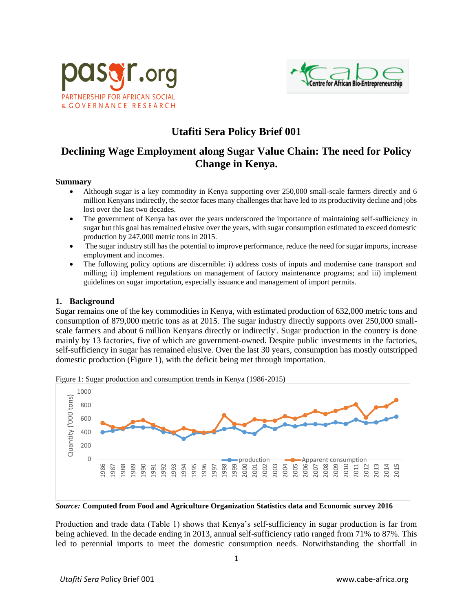



# **Utafiti Sera Policy Brief 001**

## **Declining Wage Employment along Sugar Value Chain: The need for Policy Change in Kenya.**

#### **Summary**

- Although sugar is a key commodity in Kenya supporting over 250,000 small-scale farmers directly and 6 million Kenyans indirectly, the sector faces many challenges that have led to its productivity decline and jobs lost over the last two decades.
- The government of Kenya has over the years underscored the importance of maintaining self-sufficiency in sugar but this goal has remained elusive over the years, with sugar consumption estimated to exceed domestic production by 247,000 metric tons in 2015.
- The sugar industry still has the potential to improve performance, reduce the need for sugar imports, increase employment and incomes.
- The following policy options are discernible: i) address costs of inputs and modernise cane transport and milling; ii) implement regulations on management of factory maintenance programs; and iii) implement guidelines on sugar importation, especially issuance and management of import permits.

#### **1. Background**

Sugar remains one of the key commodities in Kenya, with estimated production of 632,000 metric tons and consumption of 879,000 metric tons as at 2015. The sugar industry directly supports over 250,000 smallscale farmers and about 6 million Kenyans directly or indirectly<sup>i</sup>. Sugar production in the country is done mainly by 13 factories, five of which are government-owned. Despite public investments in the factories, self-sufficiency in sugar has remained elusive. Over the last 30 years, consumption has mostly outstripped domestic production (Figure 1), with the deficit being met through importation.



Figure 1: Sugar production and consumption trends in Kenya (1986-2015)

*Source:* **Computed from Food and Agriculture Organization Statistics data and Economic survey 2016**

Production and trade data (Table 1) shows that Kenya's self-sufficiency in sugar production is far from being achieved. In the decade ending in 2013, annual self-sufficiency ratio ranged from 71% to 87%. This led to perennial imports to meet the domestic consumption needs. Notwithstanding the shortfall in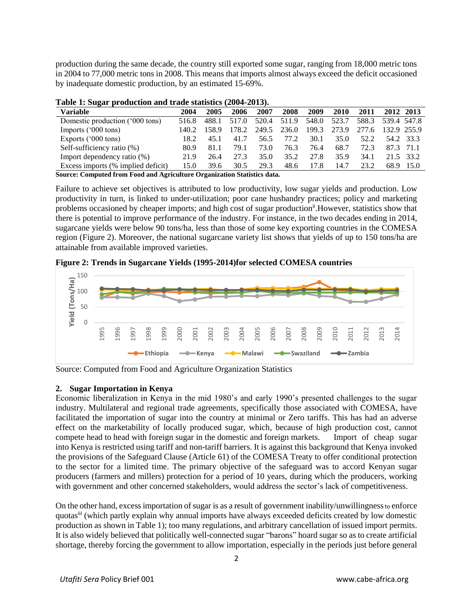production during the same decade, the country still exported some sugar, ranging from 18,000 metric tons in 2004 to 77,000 metric tons in 2008. This means that imports almost always exceed the deficit occasioned by inadequate domestic production, by an estimated 15-69%.

| <b>Variable</b>                    | 2004  | 2005  | 2006  | 2007  | 2008        | 2009  | <b>2010</b> | 2011  | 2012 2013         |           |
|------------------------------------|-------|-------|-------|-------|-------------|-------|-------------|-------|-------------------|-----------|
| Domestic production ('000 tons)    | 516.8 | 488.1 | 517.0 |       | 520.4 511.9 | 548.0 | 523.7       |       | 588.3 539.4 547.8 |           |
| Imports $('000 tons)$              | 140.2 | 158.9 | 178.2 | 249.5 | 236.0       | 199.3 | 273.9       | 277.6 | 132.9 255.9       |           |
| Exports $('000 tons)$              | 18.2  | 45.1  | 41.7  | 56.5  | 77.2        | 30.1  | 35.0        | 52.2  |                   | 54.2 33.3 |
| Self-sufficiency ratio (%)         | 80.9  | 81.1  | 79.1  | 73.0  | 76.3        | 76.4  | 68.7        | 72.3  | 87.3 71.1         |           |
| Import dependency ratio (%)        | 21.9  | 26.4  | 27.3  | 35.0  | 35.2        | 27.8  | 35.9        | 34.1  |                   | 21.5 33.2 |
| Excess imports (% implied deficit) | 15.0  | 39.6  | 30.5  | 29.3  | 48.6        | 17.8  | 14.7        | 23.2  |                   | 68.9 15.0 |

|  | Table 1: Sugar production and trade statistics (2004-2013). |  |  |  |
|--|-------------------------------------------------------------|--|--|--|

**Source: Computed from Food and Agriculture Organization Statistics data.**

Failure to achieve set objectives is attributed to low productivity, low sugar yields and production. Low productivity in turn, is linked to under-utilization; poor cane husbandry practices; policy and marketing problems occasioned by cheaper imports; and high cost of sugar production<sup>ii</sup>. However, statistics show that there is potential to improve performance of the industry. For instance, in the two decades ending in 2014, sugarcane yields were below 90 tons/ha, less than those of some key exporting countries in the COMESA region (Figure 2). Moreover, the national sugarcane variety list shows that yields of up to 150 tons/ha are attainable from available improved varieties.





Source: Computed from Food and Agriculture Organization Statistics

## **2. Sugar Importation in Kenya**

Economic liberalization in Kenya in the mid 1980's and early 1990's presented challenges to the sugar industry. Multilateral and regional trade agreements, specifically those associated with COMESA, have facilitated the importation of sugar into the country at minimal or Zero tariffs. This has had an adverse effect on the marketability of locally produced sugar, which, because of high production cost, cannot compete head to head with foreign sugar in the domestic and foreign markets. Import of cheap sugar into Kenya is restricted using tariff and non-tariff barriers. It is against this background that Kenya invoked the provisions of the Safeguard Clause (Article 61) of the COMESA Treaty to offer conditional protection to the sector for a limited time. The primary objective of the safeguard was to accord Kenyan sugar producers (farmers and millers) protection for a period of 10 years, during which the producers, working with government and other concerned stakeholders, would address the sector's lack of competitiveness.

On the other hand, excess importation of sugar is as a result of government inability/unwillingnessto enforce quotasiii (which partly explain why annual imports have always exceeded deficits created by low domestic production as shown in Table 1); too many regulations, and arbitrary cancellation of issued import permits. It is also widely believed that politically well-connected sugar "barons" hoard sugar so as to create artificial shortage, thereby forcing the government to allow importation, especially in the periods just before general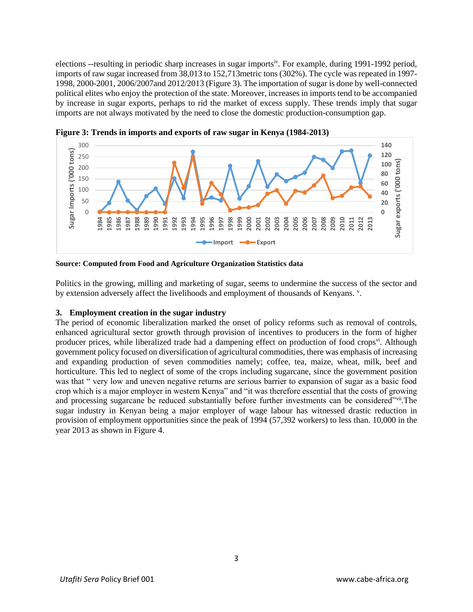elections --resulting in periodic sharp increases in sugar importsiv. For example, during 1991-1992 period, imports of raw sugar increased from 38,013 to 152,713metric tons (302%). The cycle was repeated in 1997- 1998, 2000-2001, 2006/2007and 2012/2013 (Figure 3). The importation of sugar is done by well-connected political elites who enjoy the protection of the state. Moreover, increases in imports tend to be accompanied by increase in sugar exports, perhaps to rid the market of excess supply. These trends imply that sugar imports are not always motivated by the need to close the domestic production-consumption gap.



**Figure 3: Trends in imports and exports of raw sugar in Kenya (1984-2013)**

**Source: Computed from Food and Agriculture Organization Statistics data**

Politics in the growing, milling and marketing of sugar, seems to undermine the success of the sector and by extension adversely affect the livelihoods and employment of thousands of Kenyans. <sup>v</sup>.

## **3. Employment creation in the sugar industry**

The period of economic liberalization marked the onset of policy reforms such as removal of controls, enhanced agricultural sector growth through provision of incentives to producers in the form of higher producer prices, while liberalized trade had a dampening effect on production of food crops<sup>vi</sup>. Although government policy focused on diversification of agricultural commodities, there was emphasis of increasing and expanding production of seven commodities namely; coffee, tea, maize, wheat, milk, beef and horticulture. This led to neglect of some of the crops including sugarcane, since the government position was that " very low and uneven negative returns are serious barrier to expansion of sugar as a basic food crop which is a major employer in western Kenya" and "it was therefore essential that the costs of growing and processing sugarcane be reduced substantially before further investments can be considered"vii.The sugar industry in Kenyan being a major employer of wage labour has witnessed drastic reduction in provision of employment opportunities since the peak of 1994 (57,392 workers) to less than. 10,000 in the year 2013 as shown in Figure 4.